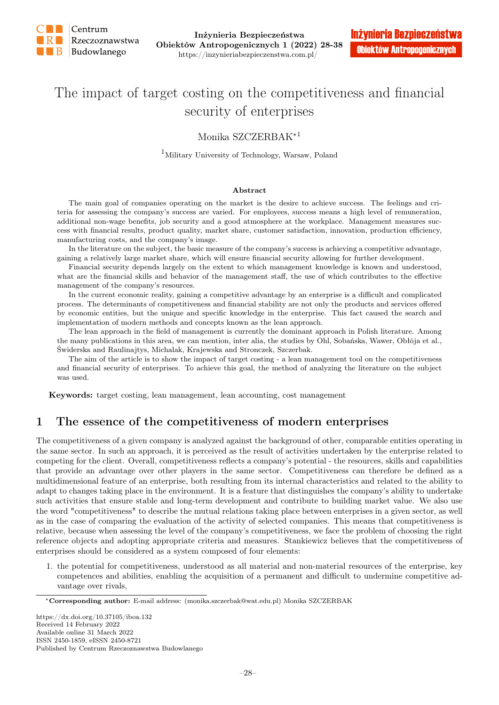

# The impact of target costing on the competitiveness and financial security of enterprises

#### Monika SZCZERBAK∗1

 $^{1}$  Military University of Technology, Warsaw, Poland

#### Abstract

The main goal of companies operating on the market is the desire to achieve success. The feelings and criteria for assessing the company's success are varied. For employees, success means a high level of remuneration, additional non-wage benefits, job security and a good atmosphere at the workplace. Management measures success with financial results, product quality, market share, customer satisfaction, innovation, production efficiency, manufacturing costs, and the company's image.

In the literature on the subject, the basic measure of the company's success is achieving a competitive advantage, gaining a relatively large market share, which will ensure financial security allowing for further development.

Financial security depends largely on the extent to which management knowledge is known and understood, what are the financial skills and behavior of the management staff, the use of which contributes to the effective management of the company's resources.

In the current economic reality, gaining a competitive advantage by an enterprise is a difficult and complicated process. The determinants of competitiveness and financial stability are not only the products and services offered by economic entities, but the unique and specific knowledge in the enterprise. This fact caused the search and implementation of modern methods and concepts known as the lean approach.

The lean approach in the field of management is currently the dominant approach in Polish literature. Among the many publications in this area, we can mention, inter alia, the studies by Ohl, Sobańska, Wawer, Obłója et al., Świderska and Raulinajtys, Michalak, Krajewska and Stronczek, Szczerbak.

The aim of the article is to show the impact of target costing - a lean management tool on the competitiveness and financial security of enterprises. To achieve this goal, the method of analyzing the literature on the subject was used.

Keywords: target costing, lean management, lean accounting, cost management

### 1 The essence of the competitiveness of modern enterprises

The competitiveness of a given company is analyzed against the background of other, comparable entities operating in the same sector. In such an approach, it is perceived as the result of activities undertaken by the enterprise related to competing for the client. Overall, competitiveness reflects a company's potential - the resources, skills and capabilities that provide an advantage over other players in the same sector. Competitiveness can therefore be defined as a multidimensional feature of an enterprise, both resulting from its internal characteristics and related to the ability to adapt to changes taking place in the environment. It is a feature that distinguishes the company's ability to undertake such activities that ensure stable and long-term development and contribute to building market value. We also use the word "competitiveness" to describe the mutual relations taking place between enterprises in a given sector, as well as in the case of comparing the evaluation of the activity of selected companies. This means that competitiveness is relative, because when assessing the level of the company's competitiveness, we face the problem of choosing the right reference objects and adopting appropriate criteria and measures. Stankiewicz believes that the competitiveness of enterprises should be considered as a system composed of four elements:

1. the potential for competitiveness, understood as all material and non-material resources of the enterprise, key competences and abilities, enabling the acquisition of a permanent and difficult to undermine competitive advantage over rivals,

<sup>∗</sup>Corresponding author: E-mail address: (monika.szczerbak@wat.edu.pl) Monika SZCZERBAK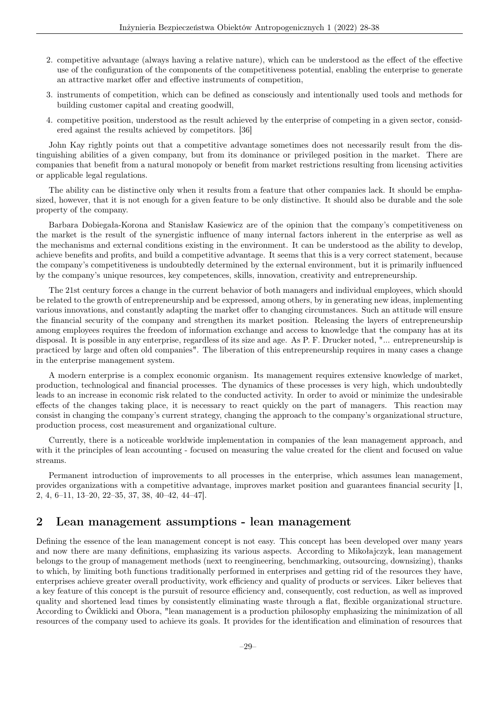- 2. competitive advantage (always having a relative nature), which can be understood as the effect of the effective use of the configuration of the components of the competitiveness potential, enabling the enterprise to generate an attractive market offer and effective instruments of competition,
- 3. instruments of competition, which can be defined as consciously and intentionally used tools and methods for building customer capital and creating goodwill,
- 4. competitive position, understood as the result achieved by the enterprise of competing in a given sector, considered against the results achieved by competitors. [36]

John Kay rightly points out that a competitive advantage sometimes does not necessarily result from the distinguishing abilities of a given company, but from its dominance or privileged position in the market. There are companies that benefit from a natural monopoly or benefit from market restrictions resulting from licensing activities or applicable legal regulations.

The ability can be distinctive only when it results from a feature that other companies lack. It should be emphasized, however, that it is not enough for a given feature to be only distinctive. It should also be durable and the sole property of the company.

Barbara Dobiegała-Korona and Stanisław Kasiewicz are of the opinion that the company's competitiveness on the market is the result of the synergistic influence of many internal factors inherent in the enterprise as well as the mechanisms and external conditions existing in the environment. It can be understood as the ability to develop, achieve benefits and profits, and build a competitive advantage. It seems that this is a very correct statement, because the company's competitiveness is undoubtedly determined by the external environment, but it is primarily influenced by the company's unique resources, key competences, skills, innovation, creativity and entrepreneurship.

The 21st century forces a change in the current behavior of both managers and individual employees, which should be related to the growth of entrepreneurship and be expressed, among others, by in generating new ideas, implementing various innovations, and constantly adapting the market offer to changing circumstances. Such an attitude will ensure the financial security of the company and strengthen its market position. Releasing the layers of entrepreneurship among employees requires the freedom of information exchange and access to knowledge that the company has at its disposal. It is possible in any enterprise, regardless of its size and age. As P. F. Drucker noted, "... entrepreneurship is practiced by large and often old companies". The liberation of this entrepreneurship requires in many cases a change in the enterprise management system.

A modern enterprise is a complex economic organism. Its management requires extensive knowledge of market, production, technological and financial processes. The dynamics of these processes is very high, which undoubtedly leads to an increase in economic risk related to the conducted activity. In order to avoid or minimize the undesirable effects of the changes taking place, it is necessary to react quickly on the part of managers. This reaction may consist in changing the company's current strategy, changing the approach to the company's organizational structure, production process, cost measurement and organizational culture.

Currently, there is a noticeable worldwide implementation in companies of the lean management approach, and with it the principles of lean accounting - focused on measuring the value created for the client and focused on value streams.

Permanent introduction of improvements to all processes in the enterprise, which assumes lean management, provides organizations with a competitive advantage, improves market position and guarantees financial security [1, 2, 4, 6–11, 13–20, 22–35, 37, 38, 40–42, 44–47].

#### 2 Lean management assumptions - lean management

Defining the essence of the lean management concept is not easy. This concept has been developed over many years and now there are many definitions, emphasizing its various aspects. According to Mikołajczyk, lean management belongs to the group of management methods (next to reengineering, benchmarking, outsourcing, downsizing), thanks to which, by limiting both functions traditionally performed in enterprises and getting rid of the resources they have, enterprises achieve greater overall productivity, work efficiency and quality of products or services. Liker believes that a key feature of this concept is the pursuit of resource efficiency and, consequently, cost reduction, as well as improved quality and shortened lead times by consistently eliminating waste through a flat, flexible organizational structure. According to Ćwiklicki and Obora, "lean management is a production philosophy emphasizing the minimization of all resources of the company used to achieve its goals. It provides for the identification and elimination of resources that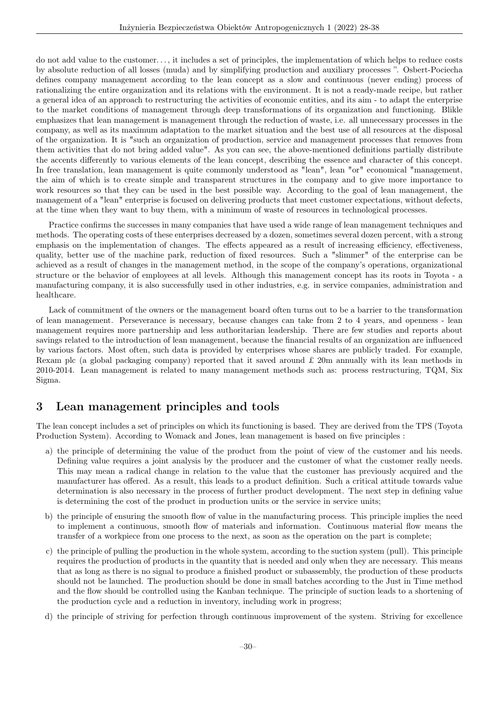do not add value to the customer. . . , it includes a set of principles, the implementation of which helps to reduce costs by absolute reduction of all losses (muda) and by simplifying production and auxiliary processes ". Osbert-Pociecha defines company management according to the lean concept as a slow and continuous (never ending) process of rationalizing the entire organization and its relations with the environment. It is not a ready-made recipe, but rather a general idea of an approach to restructuring the activities of economic entities, and its aim - to adapt the enterprise to the market conditions of management through deep transformations of its organization and functioning. Blikle emphasizes that lean management is management through the reduction of waste, i.e. all unnecessary processes in the company, as well as its maximum adaptation to the market situation and the best use of all resources at the disposal of the organization. It is "such an organization of production, service and management processes that removes from them activities that do not bring added value". As you can see, the above-mentioned definitions partially distribute the accents differently to various elements of the lean concept, describing the essence and character of this concept. In free translation, lean management is quite commonly understood as "lean", lean "or" economical "management, the aim of which is to create simple and transparent structures in the company and to give more importance to work resources so that they can be used in the best possible way. According to the goal of lean management, the management of a "lean" enterprise is focused on delivering products that meet customer expectations, without defects, at the time when they want to buy them, with a minimum of waste of resources in technological processes.

Practice confirms the successes in many companies that have used a wide range of lean management techniques and methods. The operating costs of these enterprises decreased by a dozen, sometimes several dozen percent, with a strong emphasis on the implementation of changes. The effects appeared as a result of increasing efficiency, effectiveness, quality, better use of the machine park, reduction of fixed resources. Such a "slimmer" of the enterprise can be achieved as a result of changes in the management method, in the scope of the company's operations, organizational structure or the behavior of employees at all levels. Although this management concept has its roots in Toyota - a manufacturing company, it is also successfully used in other industries, e.g. in service companies, administration and healthcare.

Lack of commitment of the owners or the management board often turns out to be a barrier to the transformation of lean management. Perseverance is necessary, because changes can take from 2 to 4 years, and openness - lean management requires more partnership and less authoritarian leadership. There are few studies and reports about savings related to the introduction of lean management, because the financial results of an organization are influenced by various factors. Most often, such data is provided by enterprises whose shares are publicly traded. For example, Rexam plc (a global packaging company) reported that it saved around  $\pounds$  20m annually with its lean methods in 2010-2014. Lean management is related to many management methods such as: process restructuring, TQM, Six Sigma.

#### 3 Lean management principles and tools

The lean concept includes a set of principles on which its functioning is based. They are derived from the TPS (Toyota Production System). According to Womack and Jones, lean management is based on five principles :

- a) the principle of determining the value of the product from the point of view of the customer and his needs. Defining value requires a joint analysis by the producer and the customer of what the customer really needs. This may mean a radical change in relation to the value that the customer has previously acquired and the manufacturer has offered. As a result, this leads to a product definition. Such a critical attitude towards value determination is also necessary in the process of further product development. The next step in defining value is determining the cost of the product in production units or the service in service units;
- b) the principle of ensuring the smooth flow of value in the manufacturing process. This principle implies the need to implement a continuous, smooth flow of materials and information. Continuous material flow means the transfer of a workpiece from one process to the next, as soon as the operation on the part is complete;
- c) the principle of pulling the production in the whole system, according to the suction system (pull). This principle requires the production of products in the quantity that is needed and only when they are necessary. This means that as long as there is no signal to produce a finished product or subassembly, the production of these products should not be launched. The production should be done in small batches according to the Just in Time method and the flow should be controlled using the Kanban technique. The principle of suction leads to a shortening of the production cycle and a reduction in inventory, including work in progress;
- d) the principle of striving for perfection through continuous improvement of the system. Striving for excellence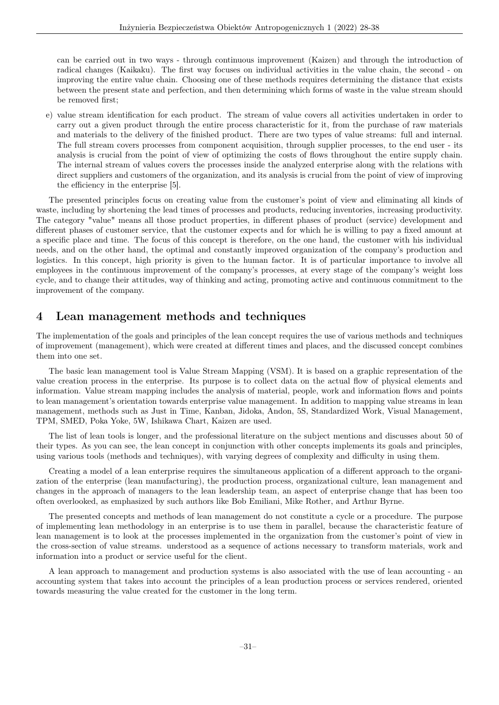can be carried out in two ways - through continuous improvement (Kaizen) and through the introduction of radical changes (Kaikaku). The first way focuses on individual activities in the value chain, the second - on improving the entire value chain. Choosing one of these methods requires determining the distance that exists between the present state and perfection, and then determining which forms of waste in the value stream should be removed first;

e) value stream identification for each product. The stream of value covers all activities undertaken in order to carry out a given product through the entire process characteristic for it, from the purchase of raw materials and materials to the delivery of the finished product. There are two types of value streams: full and internal. The full stream covers processes from component acquisition, through supplier processes, to the end user - its analysis is crucial from the point of view of optimizing the costs of flows throughout the entire supply chain. The internal stream of values covers the processes inside the analyzed enterprise along with the relations with direct suppliers and customers of the organization, and its analysis is crucial from the point of view of improving the efficiency in the enterprise [5].

The presented principles focus on creating value from the customer's point of view and eliminating all kinds of waste, including by shortening the lead times of processes and products, reducing inventories, increasing productivity. The category "value" means all those product properties, in different phases of product (service) development and different phases of customer service, that the customer expects and for which he is willing to pay a fixed amount at a specific place and time. The focus of this concept is therefore, on the one hand, the customer with his individual needs, and on the other hand, the optimal and constantly improved organization of the company's production and logistics. In this concept, high priority is given to the human factor. It is of particular importance to involve all employees in the continuous improvement of the company's processes, at every stage of the company's weight loss cycle, and to change their attitudes, way of thinking and acting, promoting active and continuous commitment to the improvement of the company.

# 4 Lean management methods and techniques

The implementation of the goals and principles of the lean concept requires the use of various methods and techniques of improvement (management), which were created at different times and places, and the discussed concept combines them into one set.

The basic lean management tool is Value Stream Mapping (VSM). It is based on a graphic representation of the value creation process in the enterprise. Its purpose is to collect data on the actual flow of physical elements and information. Value stream mapping includes the analysis of material, people, work and information flows and points to lean management's orientation towards enterprise value management. In addition to mapping value streams in lean management, methods such as Just in Time, Kanban, Jidoka, Andon, 5S, Standardized Work, Visual Management, TPM, SMED, Poka Yoke, 5W, Ishikawa Chart, Kaizen are used.

The list of lean tools is longer, and the professional literature on the subject mentions and discusses about 50 of their types. As you can see, the lean concept in conjunction with other concepts implements its goals and principles, using various tools (methods and techniques), with varying degrees of complexity and difficulty in using them.

Creating a model of a lean enterprise requires the simultaneous application of a different approach to the organization of the enterprise (lean manufacturing), the production process, organizational culture, lean management and changes in the approach of managers to the lean leadership team, an aspect of enterprise change that has been too often overlooked, as emphasized by such authors like Bob Emiliani, Mike Rother, and Arthur Byrne.

The presented concepts and methods of lean management do not constitute a cycle or a procedure. The purpose of implementing lean methodology in an enterprise is to use them in parallel, because the characteristic feature of lean management is to look at the processes implemented in the organization from the customer's point of view in the cross-section of value streams. understood as a sequence of actions necessary to transform materials, work and information into a product or service useful for the client.

A lean approach to management and production systems is also associated with the use of lean accounting - an accounting system that takes into account the principles of a lean production process or services rendered, oriented towards measuring the value created for the customer in the long term.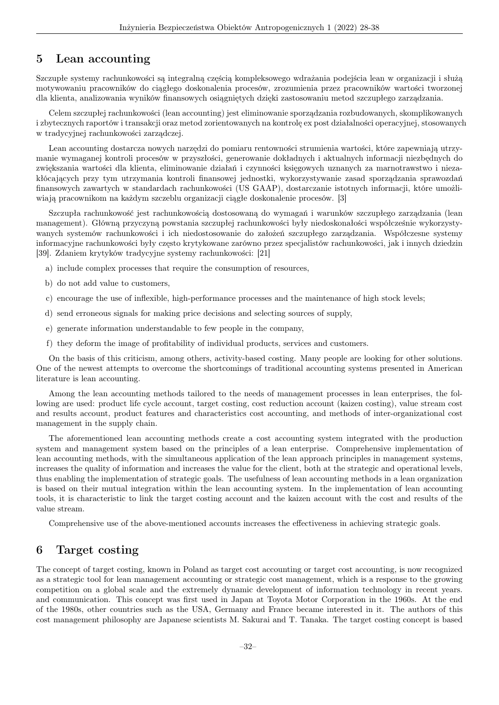#### 5 Lean accounting

Szczupłe systemy rachunkowości są integralną częścią kompleksowego wdrażania podejścia lean w organizacji i służą motywowaniu pracowników do ciągłego doskonalenia procesów, zrozumienia przez pracowników wartości tworzonej dla klienta, analizowania wyników finansowych osiągniętych dzięki zastosowaniu metod szczupłego zarządzania.

Celem szczupłej rachunkowości (lean accounting) jest eliminowanie sporządzania rozbudowanych, skomplikowanych i zbytecznych raportów i transakcji oraz metod zorientowanych na kontrolę ex post działalności operacyjnej, stosowanych w tradycyjnej rachunkowości zarządczej.

Lean accounting dostarcza nowych narzędzi do pomiaru rentowności strumienia wartości, które zapewniają utrzymanie wymaganej kontroli procesów w przyszłości, generowanie dokładnych i aktualnych informacji niezbędnych do zwiększania wartości dla klienta, eliminowanie działań i czynności księgowych uznanych za marnotrawstwo i niezakłócających przy tym utrzymania kontroli finansowej jednostki, wykorzystywanie zasad sporządzania sprawozdań finansowych zawartych w standardach rachunkowości (US GAAP), dostarczanie istotnych informacji, które umożliwiają pracownikom na każdym szczeblu organizacji ciągłe doskonalenie procesów. [3]

Szczupła rachunkowość jest rachunkowością dostosowaną do wymagań i warunków szczupłego zarządzania (lean management). Główną przyczyną powstania szczupłej rachunkowości były niedoskonałości współcześnie wykorzystywanych systemów rachunkowości i ich niedostosowanie do założeń szczupłego zarządzania. Współczesne systemy informacyjne rachunkowości były często krytykowane zarówno przez specjalistów rachunkowości, jak i innych dziedzin [39]. Zdaniem krytyków tradycyjne systemy rachunkowości: [21]

- a) include complex processes that require the consumption of resources,
- b) do not add value to customers,
- c) encourage the use of inflexible, high-performance processes and the maintenance of high stock levels;
- d) send erroneous signals for making price decisions and selecting sources of supply,
- e) generate information understandable to few people in the company,
- f) they deform the image of profitability of individual products, services and customers.

On the basis of this criticism, among others, activity-based costing. Many people are looking for other solutions. One of the newest attempts to overcome the shortcomings of traditional accounting systems presented in American literature is lean accounting.

Among the lean accounting methods tailored to the needs of management processes in lean enterprises, the following are used: product life cycle account, target costing, cost reduction account (kaizen costing), value stream cost and results account, product features and characteristics cost accounting, and methods of inter-organizational cost management in the supply chain.

The aforementioned lean accounting methods create a cost accounting system integrated with the production system and management system based on the principles of a lean enterprise. Comprehensive implementation of lean accounting methods, with the simultaneous application of the lean approach principles in management systems, increases the quality of information and increases the value for the client, both at the strategic and operational levels, thus enabling the implementation of strategic goals. The usefulness of lean accounting methods in a lean organization is based on their mutual integration within the lean accounting system. In the implementation of lean accounting tools, it is characteristic to link the target costing account and the kaizen account with the cost and results of the value stream.

Comprehensive use of the above-mentioned accounts increases the effectiveness in achieving strategic goals.

#### 6 Target costing

The concept of target costing, known in Poland as target cost accounting or target cost accounting, is now recognized as a strategic tool for lean management accounting or strategic cost management, which is a response to the growing competition on a global scale and the extremely dynamic development of information technology in recent years. and communication. This concept was first used in Japan at Toyota Motor Corporation in the 1960s. At the end of the 1980s, other countries such as the USA, Germany and France became interested in it. The authors of this cost management philosophy are Japanese scientists M. Sakurai and T. Tanaka. The target costing concept is based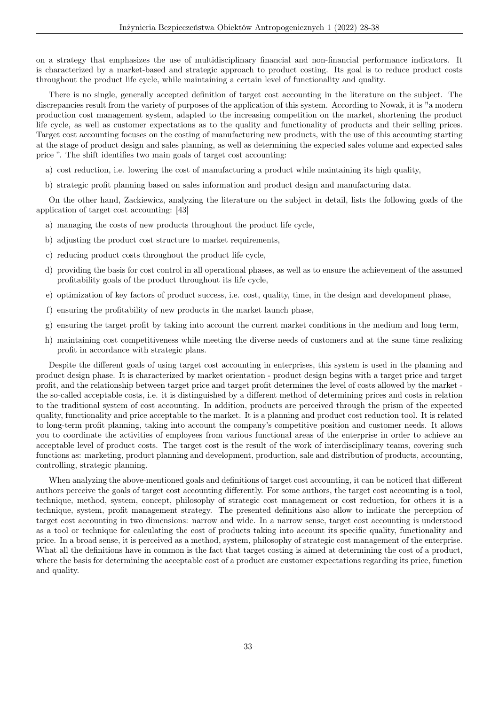on a strategy that emphasizes the use of multidisciplinary financial and non-financial performance indicators. It is characterized by a market-based and strategic approach to product costing. Its goal is to reduce product costs throughout the product life cycle, while maintaining a certain level of functionality and quality.

There is no single, generally accepted definition of target cost accounting in the literature on the subject. The discrepancies result from the variety of purposes of the application of this system. According to Nowak, it is "a modern production cost management system, adapted to the increasing competition on the market, shortening the product life cycle, as well as customer expectations as to the quality and functionality of products and their selling prices. Target cost accounting focuses on the costing of manufacturing new products, with the use of this accounting starting at the stage of product design and sales planning, as well as determining the expected sales volume and expected sales price ". The shift identifies two main goals of target cost accounting:

- a) cost reduction, i.e. lowering the cost of manufacturing a product while maintaining its high quality,
- b) strategic profit planning based on sales information and product design and manufacturing data.

On the other hand, Zackiewicz, analyzing the literature on the subject in detail, lists the following goals of the application of target cost accounting: [43]

- a) managing the costs of new products throughout the product life cycle,
- b) adjusting the product cost structure to market requirements,
- c) reducing product costs throughout the product life cycle,
- d) providing the basis for cost control in all operational phases, as well as to ensure the achievement of the assumed profitability goals of the product throughout its life cycle,
- e) optimization of key factors of product success, i.e. cost, quality, time, in the design and development phase,
- f) ensuring the profitability of new products in the market launch phase,
- g) ensuring the target profit by taking into account the current market conditions in the medium and long term,
- h) maintaining cost competitiveness while meeting the diverse needs of customers and at the same time realizing profit in accordance with strategic plans.

Despite the different goals of using target cost accounting in enterprises, this system is used in the planning and product design phase. It is characterized by market orientation - product design begins with a target price and target profit, and the relationship between target price and target profit determines the level of costs allowed by the market the so-called acceptable costs, i.e. it is distinguished by a different method of determining prices and costs in relation to the traditional system of cost accounting. In addition, products are perceived through the prism of the expected quality, functionality and price acceptable to the market. It is a planning and product cost reduction tool. It is related to long-term profit planning, taking into account the company's competitive position and customer needs. It allows you to coordinate the activities of employees from various functional areas of the enterprise in order to achieve an acceptable level of product costs. The target cost is the result of the work of interdisciplinary teams, covering such functions as: marketing, product planning and development, production, sale and distribution of products, accounting, controlling, strategic planning.

When analyzing the above-mentioned goals and definitions of target cost accounting, it can be noticed that different authors perceive the goals of target cost accounting differently. For some authors, the target cost accounting is a tool, technique, method, system, concept, philosophy of strategic cost management or cost reduction, for others it is a technique, system, profit management strategy. The presented definitions also allow to indicate the perception of target cost accounting in two dimensions: narrow and wide. In a narrow sense, target cost accounting is understood as a tool or technique for calculating the cost of products taking into account its specific quality, functionality and price. In a broad sense, it is perceived as a method, system, philosophy of strategic cost management of the enterprise. What all the definitions have in common is the fact that target costing is aimed at determining the cost of a product, where the basis for determining the acceptable cost of a product are customer expectations regarding its price, function and quality.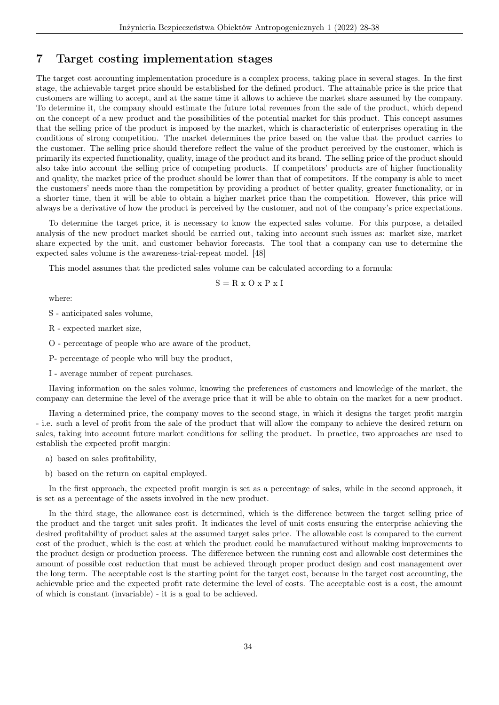#### 7 Target costing implementation stages

The target cost accounting implementation procedure is a complex process, taking place in several stages. In the first stage, the achievable target price should be established for the defined product. The attainable price is the price that customers are willing to accept, and at the same time it allows to achieve the market share assumed by the company. To determine it, the company should estimate the future total revenues from the sale of the product, which depend on the concept of a new product and the possibilities of the potential market for this product. This concept assumes that the selling price of the product is imposed by the market, which is characteristic of enterprises operating in the conditions of strong competition. The market determines the price based on the value that the product carries to the customer. The selling price should therefore reflect the value of the product perceived by the customer, which is primarily its expected functionality, quality, image of the product and its brand. The selling price of the product should also take into account the selling price of competing products. If competitors' products are of higher functionality and quality, the market price of the product should be lower than that of competitors. If the company is able to meet the customers' needs more than the competition by providing a product of better quality, greater functionality, or in a shorter time, then it will be able to obtain a higher market price than the competition. However, this price will always be a derivative of how the product is perceived by the customer, and not of the company's price expectations.

To determine the target price, it is necessary to know the expected sales volume. For this purpose, a detailed analysis of the new product market should be carried out, taking into account such issues as: market size, market share expected by the unit, and customer behavior forecasts. The tool that a company can use to determine the expected sales volume is the awareness-trial-repeat model. [48]

This model assumes that the predicted sales volume can be calculated according to a formula:

$$
S = R \times O \times P \times I
$$

where:

S - anticipated sales volume,

R - expected market size,

O - percentage of people who are aware of the product,

P- percentage of people who will buy the product,

I - average number of repeat purchases.

Having information on the sales volume, knowing the preferences of customers and knowledge of the market, the company can determine the level of the average price that it will be able to obtain on the market for a new product.

Having a determined price, the company moves to the second stage, in which it designs the target profit margin - i.e. such a level of profit from the sale of the product that will allow the company to achieve the desired return on sales, taking into account future market conditions for selling the product. In practice, two approaches are used to establish the expected profit margin:

- a) based on sales profitability,
- b) based on the return on capital employed.

In the first approach, the expected profit margin is set as a percentage of sales, while in the second approach, it is set as a percentage of the assets involved in the new product.

In the third stage, the allowance cost is determined, which is the difference between the target selling price of the product and the target unit sales profit. It indicates the level of unit costs ensuring the enterprise achieving the desired profitability of product sales at the assumed target sales price. The allowable cost is compared to the current cost of the product, which is the cost at which the product could be manufactured without making improvements to the product design or production process. The difference between the running cost and allowable cost determines the amount of possible cost reduction that must be achieved through proper product design and cost management over the long term. The acceptable cost is the starting point for the target cost, because in the target cost accounting, the achievable price and the expected profit rate determine the level of costs. The acceptable cost is a cost, the amount of which is constant (invariable) - it is a goal to be achieved.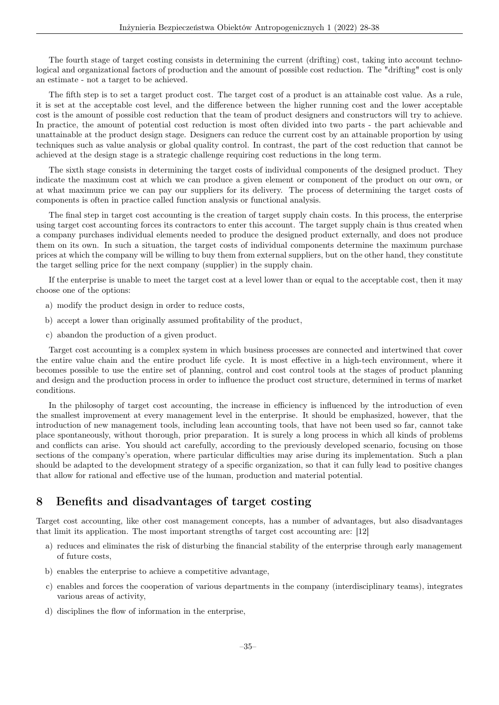The fourth stage of target costing consists in determining the current (drifting) cost, taking into account technological and organizational factors of production and the amount of possible cost reduction. The "drifting" cost is only an estimate - not a target to be achieved.

The fifth step is to set a target product cost. The target cost of a product is an attainable cost value. As a rule, it is set at the acceptable cost level, and the difference between the higher running cost and the lower acceptable cost is the amount of possible cost reduction that the team of product designers and constructors will try to achieve. In practice, the amount of potential cost reduction is most often divided into two parts - the part achievable and unattainable at the product design stage. Designers can reduce the current cost by an attainable proportion by using techniques such as value analysis or global quality control. In contrast, the part of the cost reduction that cannot be achieved at the design stage is a strategic challenge requiring cost reductions in the long term.

The sixth stage consists in determining the target costs of individual components of the designed product. They indicate the maximum cost at which we can produce a given element or component of the product on our own, or at what maximum price we can pay our suppliers for its delivery. The process of determining the target costs of components is often in practice called function analysis or functional analysis.

The final step in target cost accounting is the creation of target supply chain costs. In this process, the enterprise using target cost accounting forces its contractors to enter this account. The target supply chain is thus created when a company purchases individual elements needed to produce the designed product externally, and does not produce them on its own. In such a situation, the target costs of individual components determine the maximum purchase prices at which the company will be willing to buy them from external suppliers, but on the other hand, they constitute the target selling price for the next company (supplier) in the supply chain.

If the enterprise is unable to meet the target cost at a level lower than or equal to the acceptable cost, then it may choose one of the options:

- a) modify the product design in order to reduce costs,
- b) accept a lower than originally assumed profitability of the product,
- c) abandon the production of a given product.

Target cost accounting is a complex system in which business processes are connected and intertwined that cover the entire value chain and the entire product life cycle. It is most effective in a high-tech environment, where it becomes possible to use the entire set of planning, control and cost control tools at the stages of product planning and design and the production process in order to influence the product cost structure, determined in terms of market conditions.

In the philosophy of target cost accounting, the increase in efficiency is influenced by the introduction of even the smallest improvement at every management level in the enterprise. It should be emphasized, however, that the introduction of new management tools, including lean accounting tools, that have not been used so far, cannot take place spontaneously, without thorough, prior preparation. It is surely a long process in which all kinds of problems and conflicts can arise. You should act carefully, according to the previously developed scenario, focusing on those sections of the company's operation, where particular difficulties may arise during its implementation. Such a plan should be adapted to the development strategy of a specific organization, so that it can fully lead to positive changes that allow for rational and effective use of the human, production and material potential.

#### 8 Benefits and disadvantages of target costing

Target cost accounting, like other cost management concepts, has a number of advantages, but also disadvantages that limit its application. The most important strengths of target cost accounting are: [12]

- a) reduces and eliminates the risk of disturbing the financial stability of the enterprise through early management of future costs,
- b) enables the enterprise to achieve a competitive advantage,
- c) enables and forces the cooperation of various departments in the company (interdisciplinary teams), integrates various areas of activity,
- d) disciplines the flow of information in the enterprise,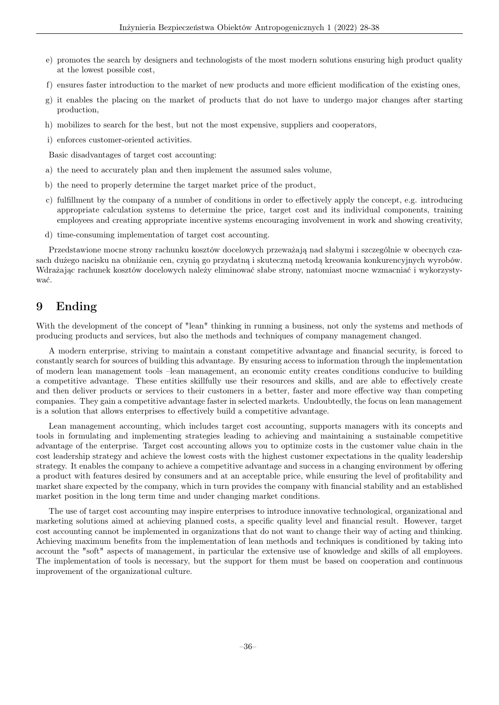- e) promotes the search by designers and technologists of the most modern solutions ensuring high product quality at the lowest possible cost,
- f) ensures faster introduction to the market of new products and more efficient modification of the existing ones,
- g) it enables the placing on the market of products that do not have to undergo major changes after starting production,
- h) mobilizes to search for the best, but not the most expensive, suppliers and cooperators,
- i) enforces customer-oriented activities.

Basic disadvantages of target cost accounting:

- a) the need to accurately plan and then implement the assumed sales volume,
- b) the need to properly determine the target market price of the product,
- c) fulfillment by the company of a number of conditions in order to effectively apply the concept, e.g. introducing appropriate calculation systems to determine the price, target cost and its individual components, training employees and creating appropriate incentive systems encouraging involvement in work and showing creativity,
- d) time-consuming implementation of target cost accounting.

Przedstawione mocne strony rachunku kosztów docelowych przeważają nad słabymi i szczególnie w obecnych czasach dużego nacisku na obniżanie cen, czynią go przydatną i skuteczną metodą kreowania konkurencyjnych wyrobów. Wdrażając rachunek kosztów docelowych należy eliminować słabe strony, natomiast mocne wzmacniać i wykorzystywać.

# 9 Ending

With the development of the concept of "lean" thinking in running a business, not only the systems and methods of producing products and services, but also the methods and techniques of company management changed.

A modern enterprise, striving to maintain a constant competitive advantage and financial security, is forced to constantly search for sources of building this advantage. By ensuring access to information through the implementation of modern lean management tools –lean management, an economic entity creates conditions conducive to building a competitive advantage. These entities skillfully use their resources and skills, and are able to effectively create and then deliver products or services to their customers in a better, faster and more effective way than competing companies. They gain a competitive advantage faster in selected markets. Undoubtedly, the focus on lean management is a solution that allows enterprises to effectively build a competitive advantage.

Lean management accounting, which includes target cost accounting, supports managers with its concepts and tools in formulating and implementing strategies leading to achieving and maintaining a sustainable competitive advantage of the enterprise. Target cost accounting allows you to optimize costs in the customer value chain in the cost leadership strategy and achieve the lowest costs with the highest customer expectations in the quality leadership strategy. It enables the company to achieve a competitive advantage and success in a changing environment by offering a product with features desired by consumers and at an acceptable price, while ensuring the level of profitability and market share expected by the company, which in turn provides the company with financial stability and an established market position in the long term time and under changing market conditions.

The use of target cost accounting may inspire enterprises to introduce innovative technological, organizational and marketing solutions aimed at achieving planned costs, a specific quality level and financial result. However, target cost accounting cannot be implemented in organizations that do not want to change their way of acting and thinking. Achieving maximum benefits from the implementation of lean methods and techniques is conditioned by taking into account the "soft" aspects of management, in particular the extensive use of knowledge and skills of all employees. The implementation of tools is necessary, but the support for them must be based on cooperation and continuous improvement of the organizational culture.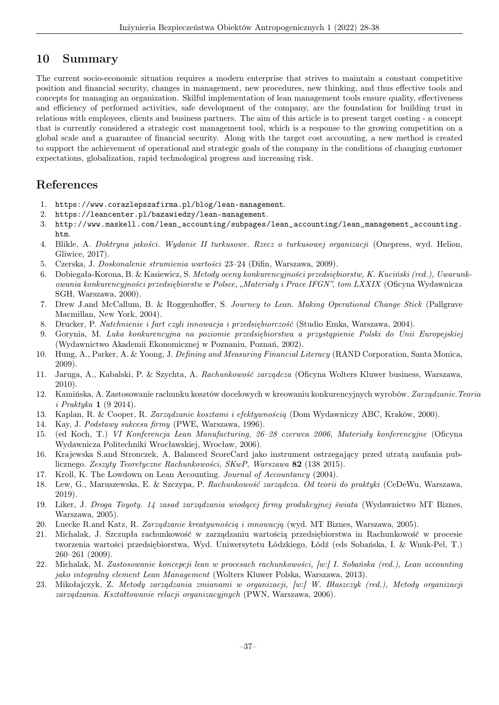# 10 Summary

The current socio-economic situation requires a modern enterprise that strives to maintain a constant competitive position and financial security, changes in management, new procedures, new thinking, and thus effective tools and concepts for managing an organization. Skilful implementation of lean management tools ensure quality, effectiveness and efficiency of performed activities, safe development of the company, are the foundation for building trust in relations with employees, clients and business partners. The aim of this article is to present target costing - a concept that is currently considered a strategic cost management tool, which is a response to the growing competition on a global scale and a guarantee of financial security. Along with the target cost accounting, a new method is created to support the achievement of operational and strategic goals of the company in the conditions of changing customer expectations, globalization, rapid technological progress and increasing risk.

## References

- 1. https://www.corazlepszafirma.pl/blog/lean-management.
- 2. https://leancenter.pl/bazawiedzy/lean-management.
- 3. http://www.maskell.com/lean\_accounting/subpages/lean\_accounting/lean\_management\_accounting. htm.
- 4. Blikle, A. Doktryna jakości. Wydanie II turkusowe. Rzecz o turkusowej organizacji (Onepress, wyd. Helion, Gliwice, 2017).
- 5. Czerska, J. Doskonalenie strumienia wartości 23–24 (Difin, Warszawa, 2009).
- 6. Dobiegała-Korona, B. & Kasiewicz, S. Metody oceny konkurencyjności przedsiębiorstw, K. Kuciński (red.), Uwarunkowania konkurencyjności przedsiębiorstw w Polsce, "Materiały i Prace IFGN", tom LXXIX (Oficyna Wydawnicza SGH, Warszawa, 2000).
- 7. Drew J.and McCallum, B. & Roggenhoffer, S. Journey to Lean. Making Operational Change Stick (Pallgrave Macmillan, New York, 2004).
- 8. Drucker, P. Natchnienie i fart czyli innowacja i przedsiębiorczość (Studio Emka, Warszawa, 2004).
- 9. Gorynia, M. Luka konkurencyjna na poziomie przedsiębiorstwa a przystąpienie Polski do Unii Europejskiej (Wydawnictwo Akademii Ekonomicznej w Poznaniu, Poznań, 2002).
- 10. Hung, A., Parker, A. & Yoong, J. Defining and Measuring Financial Literacy (RAND Corporation, Santa Monica, 2009).
- 11. Jaruga, A., Kabalski, P. & Szychta, A. Rachunkowość zarządcza (Oficyna Wolters Kluwer business, Warszawa, 2010).
- 12. Kamińska, A. Zastosowanie rachunku kosztów docelowych w kreowaniu konkurencyjnych wyrobów. Zarządzanie. Teoria i Praktyka 1 (9 2014).
- 13. Kaplan, R. & Cooper, R. Zarządzanie kosztami i efektywnością (Dom Wydawniczy ABC, Kraków, 2000).
- 14. Kay, J. Podstawy sukcesu firmy (PWE, Warszawa, 1996).
- 15. (ed Koch, T.) VI Konferencja Lean Manufacturing, 26–28 czerwca 2006, Materiały konferencyjne (Oficyna Wydawnicza Politechniki Wrocławskiej, Wrocław, 2006).
- 16. Krajewska S.and Stronczek, A. Balanced ScoreCard jako instrument ostrzegający przed utratą zaufania publicznego. Zeszyty Teoretyczne Rachunkowości, SKwP, Warszawa 82 (138 2015).
- 17. Kroll, K. The Lowdown on Lean Accounting. Journal of Accountancy (2004).
- 18. Lew, G., Maruszewska, E. & Szczypa, P. Rachunkowość zarządcza. Od teorii do praktyki (CeDeWu, Warszawa, 2019).
- 19. Liker, J. Droga Toyoty. 14 zasad zarządzania wiodącej firmy produkcyjnej świata (Wydawnictwo MT Biznes, Warszawa, 2005).
- 20. Luecke R.and Katz, R. Zarządzanie kreatywnością i innowacją (wyd. MT Biznes, Warszawa, 2005).
- 21. Michalak, J. Szczupła rachunkowość w zarządzaniu wartością przedsiębiorstwa in Rachunkowość w procesie tworzenia wartości przedsiębiorstwa, Wyd. Uniwersytetu Łódzkiego, Łódź (eds Sobańska, I. & Wnuk-Pel, T.) 260–261 (2009).
- 22. Michalak, M. Zastosowanie koncepcji lean w procesach rachunkowości, [w:] I. Sobańska (red.), Lean accounting jako integralny element Lean Management (Wolters Kluwer Polska, Warszawa, 2013).
- 23. Mikołajczyk, Z. Metody zarządzania zmianami w organizacji, [w:] W. Błaszczyk (red.), Metody organizacji zarządzania. Kształtowanie relacji organizacyjnych (PWN, Warszawa, 2006).